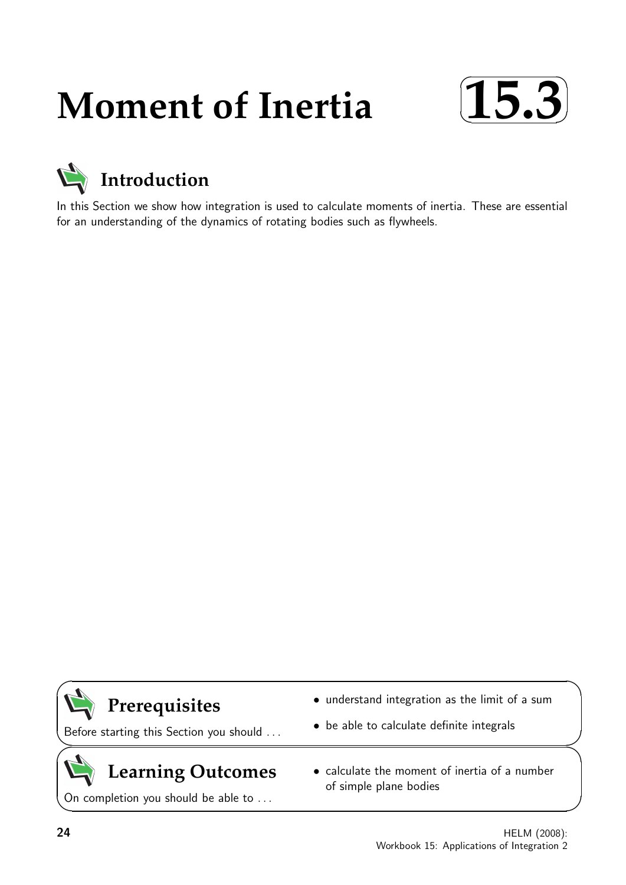# **Moment of Inertia**





In this Section we show how integration is used to calculate moments of inertia. These are essential for an understanding of the dynamics of rotating bodies such as flywheels.



# **Prerequisites**

Before starting this Section you should . . .

## $\geq$  $\geq$

# **Learning Outcomes**

On completion you should be able to ...

- understand integration as the limit of a sum
- be able to calculate definite integrals
- calculate the moment of inertia of a number of simple plane bodies

 $\overline{\phantom{0}}$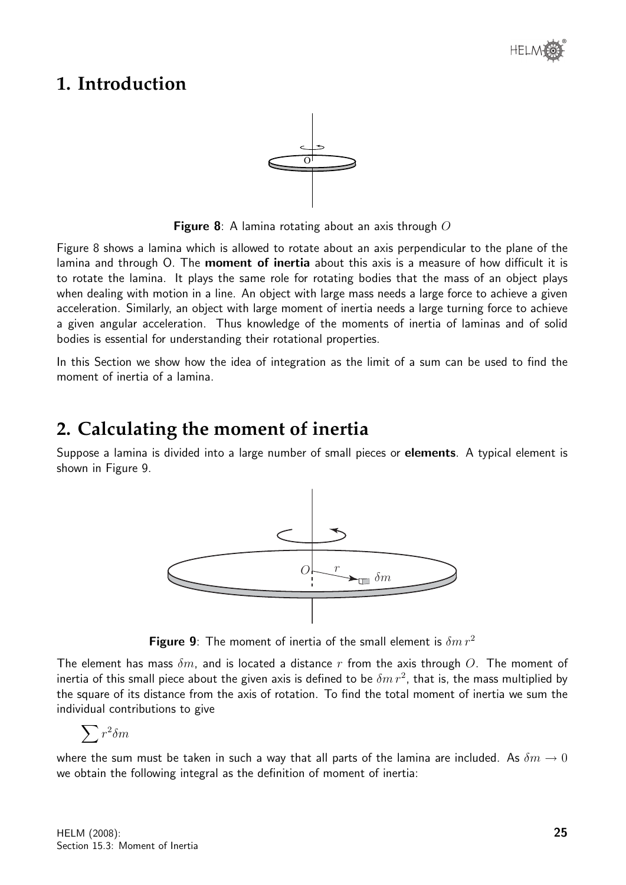

### **1. Introduction**



Figure 8: A lamina rotating about an axis through  $O$ 

Figure 8 shows a lamina which is allowed to rotate about an axis perpendicular to the plane of the lamina and through O. The moment of inertia about this axis is a measure of how difficult it is to rotate the lamina. It plays the same role for rotating bodies that the mass of an object plays when dealing with motion in a line. An object with large mass needs a large force to achieve a given acceleration. Similarly, an object with large moment of inertia needs a large turning force to achieve a given angular acceleration. Thus knowledge of the moments of inertia of laminas and of solid bodies is essential for understanding their rotational properties.

In this Section we show how the idea of integration as the limit of a sum can be used to find the moment of inertia of a lamina.

# **2. Calculating the moment of inertia**

Suppose a lamina is divided into a large number of small pieces or **elements**. A typical element is shown in Figure 9.



Figure 9: The moment of inertia of the small element is  $\delta m r^2$ 

The element has mass  $\delta m$ , and is located a distance r from the axis through O. The moment of inertia of this small piece about the given axis is defined to be  $\delta m\, r^2$ , that is, the mass multiplied by the square of its distance from the axis of rotation. To find the total moment of inertia we sum the individual contributions to give

$$
\sum r^2 \delta m
$$

where the sum must be taken in such a way that all parts of the lamina are included. As  $\delta m \to 0$ we obtain the following integral as the definition of moment of inertia: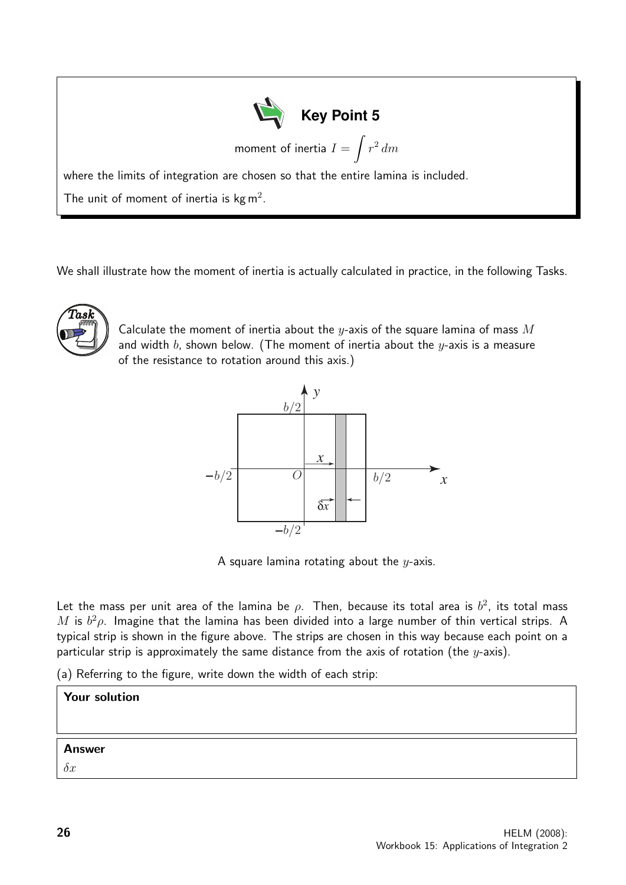| $\sum$ Key Point 5                                                                |
|-----------------------------------------------------------------------------------|
| moment of inertia $I = \int r^2 dm$                                               |
| where the limits of integration are chosen so that the entire lamina is included. |
| The unit of moment of inertia is $kg m2$ .                                        |

We shall illustrate how the moment of inertia is actually calculated in practice, in the following Tasks.



Calculate the moment of inertia about the y-axis of the square lamina of mass  $M$ and width b, shown below. (The moment of inertia about the  $y$ -axis is a measure of the resistance to rotation around this axis.)



A square lamina rotating about the  $y$ -axis.

Let the mass per unit area of the lamina be  $\rho$ . Then, because its total area is  $b^2$ , its total mass M is  $b^2 \rho$ . Imagine that the lamina has been divided into a large number of thin vertical strips. A typical strip is shown in the figure above. The strips are chosen in this way because each point on a particular strip is approximately the same distance from the axis of rotation (the  $y$ -axis).

(a) Referring to the figure, write down the width of each strip:

| <b>Your solution</b> |  |
|----------------------|--|
| <b>Answer</b>        |  |
| $\partial x$         |  |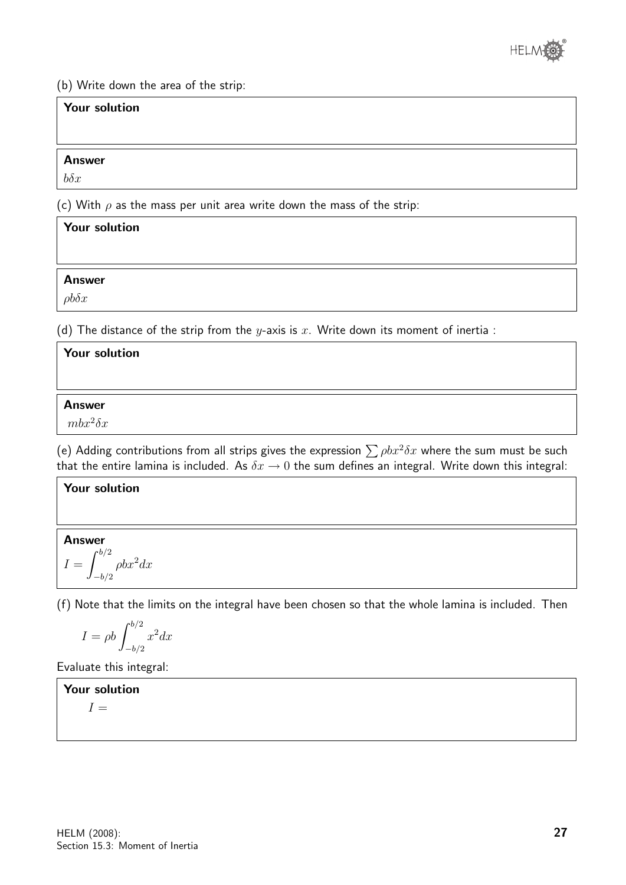

(b) Write down the area of the strip:

| <b>Your solution</b> |                                                                             |  |
|----------------------|-----------------------------------------------------------------------------|--|
|                      |                                                                             |  |
| <b>Answer</b>        |                                                                             |  |
| $b\delta x$          |                                                                             |  |
|                      | (c) With $\rho$ as the mass per unit area write down the mass of the strip: |  |

| <b>Your solution</b>                                                                                          |                                                                                                                 |  |
|---------------------------------------------------------------------------------------------------------------|-----------------------------------------------------------------------------------------------------------------|--|
|                                                                                                               |                                                                                                                 |  |
| <b>Answer</b>                                                                                                 |                                                                                                                 |  |
| $\rho b\delta x$                                                                                              |                                                                                                                 |  |
| the second contract of the second contract of the second contract of the second contract of<br>____<br>______ | the contract of the contract of the contract of the contract of the contract of the contract of the contract of |  |

(d) The distance of the strip from the y-axis is x. Write down its moment of inertia :

| Your solution   |  |  |
|-----------------|--|--|
|                 |  |  |
| <b>Answer</b>   |  |  |
| $mbx^2\delta x$ |  |  |
|                 |  |  |

(e) Adding contributions from all strips gives the expression  $\sum \rho b x^2 \delta x$  where the sum must be such that the entire lamina is included. As  $\delta x \to 0$  the sum defines an integral. Write down this integral:

#### Your solution

Answer  $I = \int^{b/2}$  $-b/2$  $\rho b x^2 dx$ 

(f) Note that the limits on the integral have been chosen so that the whole lamina is included. Then

$$
I = \rho b \int_{-b/2}^{b/2} x^2 dx
$$

Evaluate this integral:

Your solution

 $I =$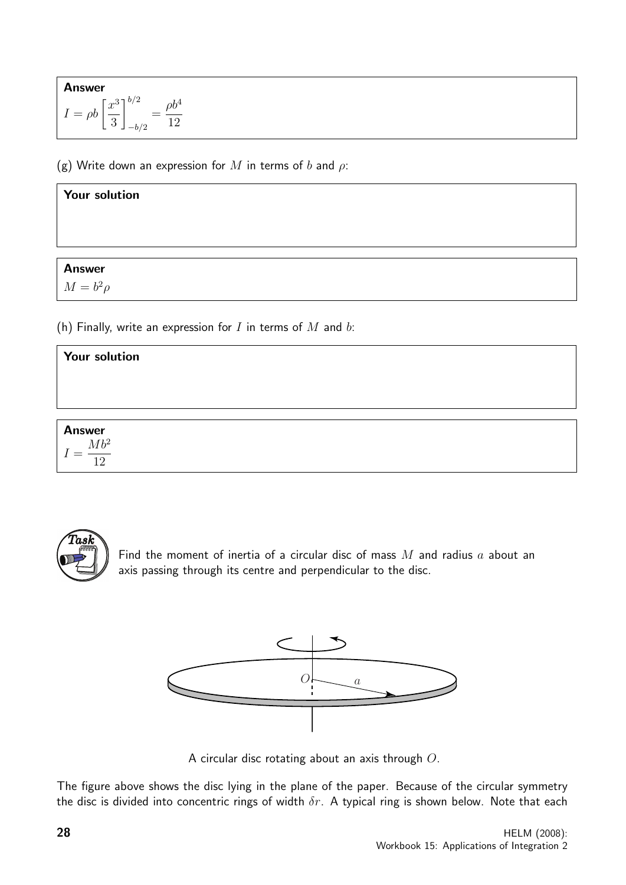Answer  
\n
$$
I = \rho b \left[ \frac{x^3}{3} \right]_{-b/2}^{b/2} = \frac{\rho b^4}{12}
$$

(g) Write down an expression for M in terms of b and  $\rho$ :

#### Your solution

#### Answer

 $M = b^2 \rho$ 

(h) Finally, write an expression for  $I$  in terms of  $M$  and  $b$ :

| Your solution                   |  |  |
|---------------------------------|--|--|
|                                 |  |  |
|                                 |  |  |
|                                 |  |  |
| Answer<br>$=$ $\frac{Mb^2}{12}$ |  |  |



Find the moment of inertia of a circular disc of mass  $M$  and radius  $a$  about an axis passing through its centre and perpendicular to the disc.



A circular disc rotating about an axis through O.

The figure above shows the disc lying in the plane of the paper. Because of the circular symmetry the disc is divided into concentric rings of width  $\delta r$ . A typical ring is shown below. Note that each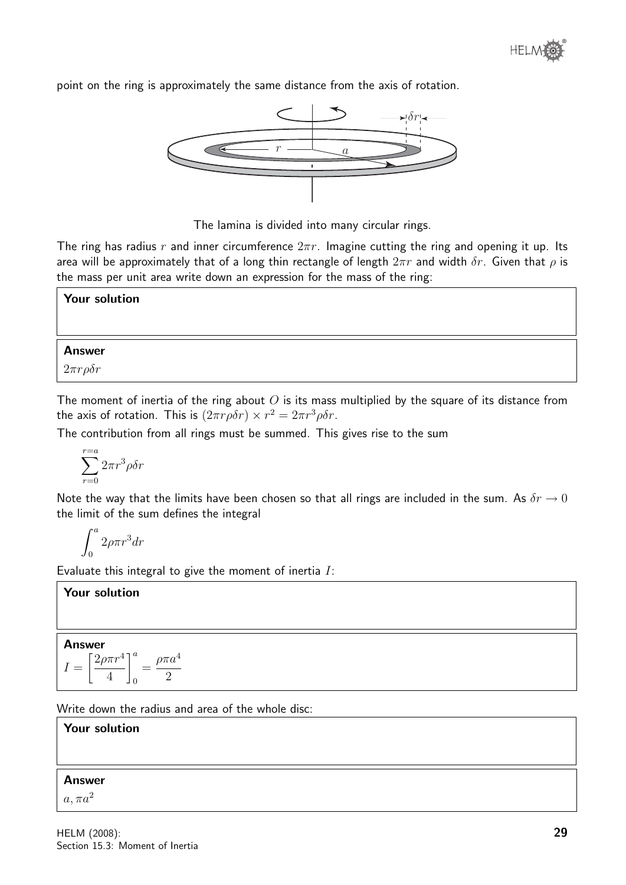point on the ring is approximately the same distance from the axis of rotation.



The lamina is divided into many circular rings.

The ring has radius r and inner circumference  $2\pi r$ . Imagine cutting the ring and opening it up. Its area will be approximately that of a long thin rectangle of length  $2\pi r$  and width  $\delta r$ . Given that  $\rho$  is the mass per unit area write down an expression for the mass of the ring:

#### Your solution

#### Answer

2πrρδr

The moment of inertia of the ring about  $O$  is its mass multiplied by the square of its distance from the axis of rotation. This is  $(2\pi r \rho \delta r) \times r^2 = 2\pi r^3 \rho \delta r$ .

The contribution from all rings must be summed. This gives rise to the sum

$$
\sum_{r=0}^{r=a} 2\pi r^3 \rho \delta r
$$

Note the way that the limits have been chosen so that all rings are included in the sum. As  $\delta r \to 0$ the limit of the sum defines the integral

$$
\int_0^a 2\rho \pi r^3 dr
$$

Evaluate this integral to give the moment of inertia  $I$ :

#### Your solution

#### Answer

$$
I = \left[\frac{2\rho\pi r^4}{4}\right]_0^a = \frac{\rho\pi a^4}{2}
$$

Write down the radius and area of the whole disc:

Your solution Answer  $a, \pi a^2$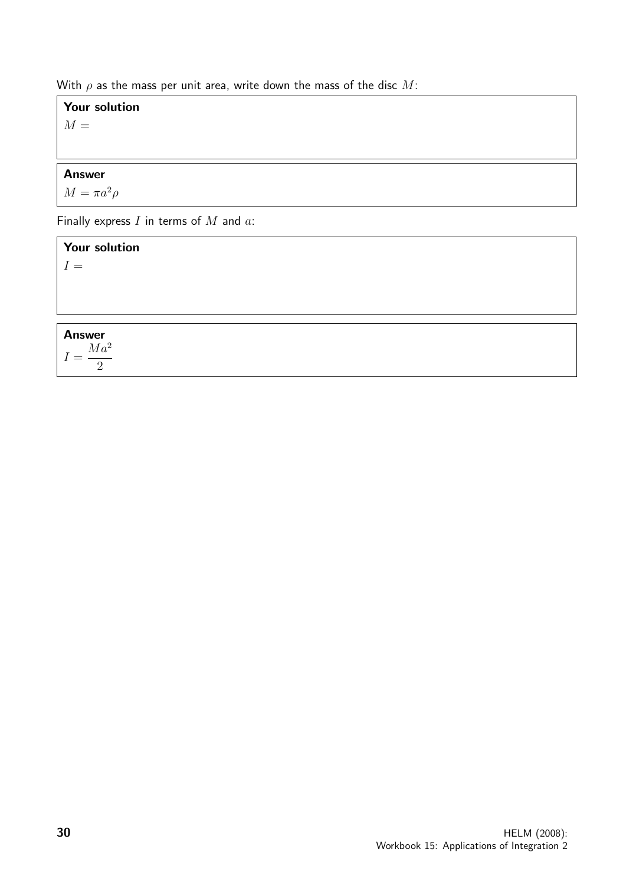With  $\rho$  as the mass per unit area, write down the mass of the disc M:

#### Your solution

 $M =$ 

#### Answer

 $M = \pi a^2 \rho$ 

Finally express  $I$  in terms of  $M$  and  $a$ :

Your solution  $I =$ 

## Answer

 $I =$  $Ma^2$ 2